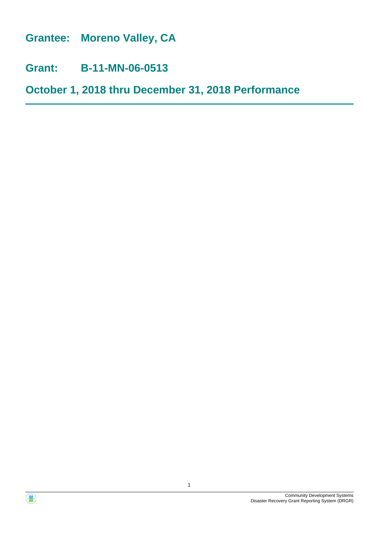**Grantee: Moreno Valley, CA**

**Grant: B-11-MN-06-0513**

**October 1, 2018 thru December 31, 2018 Performance**

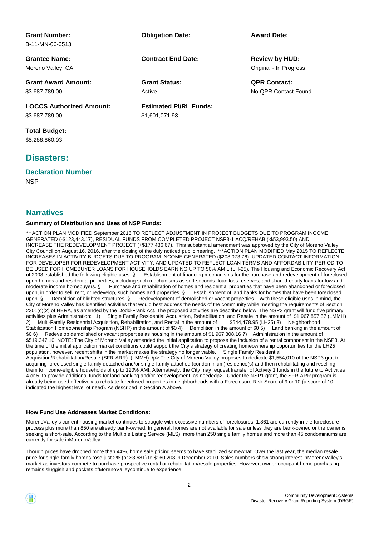| <b>Grant Number:</b>            | <b>Obligation Date:</b>       | <b>Award Date:</b>     |
|---------------------------------|-------------------------------|------------------------|
| B-11-MN-06-0513                 |                               |                        |
| <b>Grantee Name:</b>            | <b>Contract End Date:</b>     | <b>Review by HUD:</b>  |
| Moreno Valley, CA               |                               | Original - In Progress |
| <b>Grant Award Amount:</b>      | <b>Grant Status:</b>          | <b>QPR Contact:</b>    |
| \$3,687,789.00                  | Active                        | No OPR Contact Found   |
| <b>LOCCS Authorized Amount:</b> | <b>Estimated PI/RL Funds:</b> |                        |
| \$3,687,789.00                  | \$1,601,071.93                |                        |
| <b>Total Budget:</b>            |                               |                        |

\$5,288,860.93

## **Disasters:**

**Declaration Number**

**NSP** 

## **Narratives**

#### **Summary of Distribution and Uses of NSP Funds:**

\*\*\*ACTION PLAN MODIFIED September 2016 TO REFLECT ADJUSTMENT IN PROJECT BUDGETS DUE TO PROGRAM INCOME GENERATED (-\$123,443.17), RESIDUAL FUNDS FROM COMPLETED PROJECT NSP3-1 ACQ/REHAB (-\$53,993.50) AND INCREASE THE REDEVELOPMENT PROJECT (+\$177,436.67). This substantial amendment was approved by the City of Moreno Valley City Council on August 16, 2016, after the closing of the duly noticed public hearing. \*\*\*ACTION PLAN MODIFIED May 2015 TO REFLECTE INCREASES IN ACTIVITY BUDGETS DUE TO PROGRAM INCOME GENERATED (\$208,073.76), UPDATED CONTACT INFORMATION FOR DEVELOPER FOR REDEVELOPMENT ACTIVITY, AND UPDATED TO REFLECT LOAN TERMS AND AFFORDABILITY PERIOD TO BE USED FOR HOMEBUYER LOANS FOR HOUSEHOLDS EARNING UP TO 50% AMIL (LH-25). The Housing and Economic Recovery Act of 2008 established the following eligible uses: § Establishment of financing mechanisms for the purchase and redevelopment of foreclosed upon homes and residential properties, including such mechanisms as soft-seconds, loan loss reserves, and shared-equity loans for low and moderate income homebuyers. § Purchase and rehabilitation of homes and residential properties that have been abandoned or foreclosed upon, in order to sell, rent, or redevelop, such homes and properties. § Establishment of land banks for homes that have been foreclosed upon. § Demolition of blighted structures. § Redevelopment of demolished or vacant properties. With these eligible uses in mind, the City of Moreno Valley has identified activities that would best address the needs of the community while meeting the requirements of Section 2301(c)(2) of HERA, as amended by the Dodd-Frank Act. The proposed activities are described below. The NSP3 grant will fund five primary activities plus Administration: 1) Single Family Residential Acquisition, Rehabilitation, and Resale in the amount of \$1,967,857,57 (LMMH) 2) Multi-Family Residential Acquisition, Rehabilitation, and Rental in the amount of \$544,478.95 (LH25) 3) Neighborhood Stabilization Homeownership Program (NSHP) in the amount of \$0 4) Demolition in the amount of \$0 5) Land banking in the amount of \$0 6) Redevelop demolished or vacant properties as housing in the amount of \$1,967,808.16 7) Administration in the amount of \$519,347.10 NOTE: The City of Moreno Valley amended the initial application to propose the inclusion of a rental component in the NSP3. At the time of the initial application market conditions could support the City's strategy of creating homeownership opportunities for the LH25 population, however, recent shifts in the market makes the strategy no longer viable. Single Family Residential Acquisition/Rehabilitation/Resale (SFR-ARR) (LMMH) /p> The City of Moreno Valley proposes to dedicate \$1,554,010 of the NSP3 grat to acquiring foreclosed single-family detached and/or single-family attached (condominium)residence(s) and then rehabilitating and reselling them to income-eligible households of up to 120% AMI. Alternatively, the City may request transfer of Activity 1 funds in the future to Activities 4 or 5, to provide additional funds for land banking and/or redevelopment, as neededp> Under the NSP1 grant, the SFR-ARR program is already being used effectively to rehatate foreclosed properties in neighborhoods with a Foreclosure Risk Score of 9 or 10 (a score of 10 indicated the highest level of need). As described in Section A above,

#### **How Fund Use Addresses Market Conditions:**

MorenoValley's current housing market continues to struggle with excessive numbers of foreclosures: 1,861 are currently in the foreclosure process plus more than 850 are already bank-owned. In general, homes are not available for sale unless they are bank-owned or the owner is seeking a short-sale. According to the Multiple Listing Service (MLS), more than 250 single family homes and more than 45 condominiums are currently for sale inMorenoValley.

Though prices have dropped more than 44%, home sale pricing seems to have stabilized somewhat. Over the last year, the median resale price for single-family homes rose just 2% (or \$3,681) to \$160,208 in December 2010. Sales numbers show strong interest inMorenoValley's market as investors compete to purchase prospective rental or rehabilitation/resale properties. However, owner-occupant home purchasing remains sluggish and pockets ofMorenoValleycontinue to experience

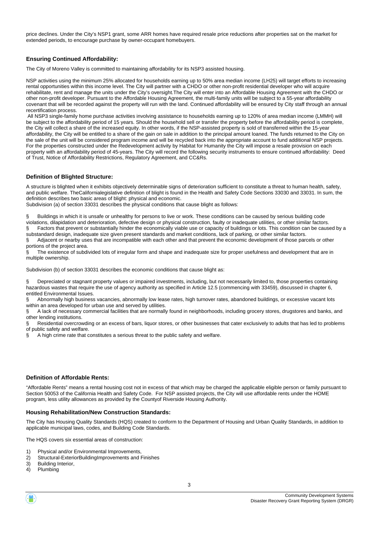price declines. Under the City's NSP1 grant, some ARR homes have required resale price reductions after properties sat on the market for extended periods, to encourage purchase by owner-occupant homebuyers.

#### **Ensuring Continued Affordability:**

The City of Moreno Valley is committed to maintaining affordability for its NSP3 assisted housing.

NSP activities using the minimum 25% allocated for households earning up to 50% area median income (LH25) will target efforts to increasing rental opportunities within this income level. The City will partner with a CHDO or other non-profit residential developer who will acquire rehabilitate, rent and manage the units under the City's oversight.The City will enter into an Affordable Housing Agreement with the CHDO or other non-profit developer. Pursuant to the Affordable Housing Agreement, the multi-family units will be subject to a 55-year affordability covenant that will be recorded against the property will run with the land. Continued affordability will be ensured by City staff through an annual recertification process.

 All NSP3 single-family home purchase activities involving assistance to households earning up to 120% of area median income (LMMH) will be subject to the affordability period of 15 years. Should the household sell or transfer the property before the affordability period is complete, the City will collect a share of the increased equity. In other words, if the NSP-assisted property is sold of transferred within the 15-year affordability, the City will be entitled to a share of the gain on sale in addition to the principal amount loaned. The funds returned to the City on the sale of the unit will be considered program income and will be recycled back into the appropriate account to fund additional NSP projects. For the properties constructed under the Redevelopment activity by Habitat for Humanity the City will impose a resale provision on each property with an affordability period of 45-years. The City will record the following security instruments to ensure continued affordability: Deed of Trust, Notice of Affordability Restrictions, Regulatory Agreement, and CC&Rs.

#### **Definition of Blighted Structure:**

A structure is blighted when it exhibits objectively determinable signs of deterioration sufficient to constitute a threat to human health, safety, and public welfare. TheCalifornialegislative definition of blight is found in the Health and Safety Code Sections 33030 and 33031. In sum, the definition describes two basic areas of blight: physical and economic.

Subdivision (a) of section 33031 describes the physical conditions that cause blight as follows:

§ Buildings in which it is unsafe or unhealthy for persons to live or work. These conditions can be caused by serious building code violations, dilapidation and deterioration, defective design or physical construction, faulty or inadequate utilities, or other similar factors.

§ Factors that prevent or substantially hinder the economically viable use or capacity of buildings or lots. This condition can be caused by a substandard design, inadequate size given present standards and market conditions, lack of parking, or other similar factors. § Adjacent or nearby uses that are incompatible with each other and that prevent the economic development of those parcels or other

portions of the project area.

The existence of subdivided lots of irregular form and shape and inadequate size for proper usefulness and development that are in multiple ownership.

Subdivision (b) of section 33031 describes the economic conditions that cause blight as:

Depreciated or stagnant property values or impaired investments, including, but not necessarily limited to, those properties containing hazardous wastes that require the use of agency authority as specified in Article 12.5 (commencing with 33459), discussed in chapter 6, entitled Environmental Issues.

§ Abnormally high business vacancies, abnormally low lease rates, high turnover rates, abandoned buildings, or excessive vacant lots within an area developed for urban use and served by utilities.

§ A lack of necessary commercial facilities that are normally found in neighborhoods, including grocery stores, drugstores and banks, and other lending institutions.

Residential overcrowding or an excess of bars, liquor stores, or other businesses that cater exclusively to adults that has led to problems of public safety and welfare.

§ A high crime rate that constitutes a serious threat to the public safety and welfare.

#### **Definition of Affordable Rents:**

"Affordable Rents" means a rental housing cost not in excess of that which may be charged the applicable eligible person or family pursuant to Section 50053 of the California Health and Safety Code. For NSP assisted projects, the City will use affordable rents under the HOME program, less utility allowances as provided by the Countyof Riverside Housing Authority.

#### **Housing Rehabilitation/New Construction Standards:**

The City has Housing Quality Standards (HQS) created to conform to the Department of Housing and Urban Quality Standards, in addition to applicable municipal laws, codes, and Building Code Standards.

The HQS covers six essential areas of construction:

- 1) Physical and/or Environmental Improvements,
- 2) Structural-ExteriorBuildingImprovements and Finishes
- 3) Building Interior,
- 4) Plumbing

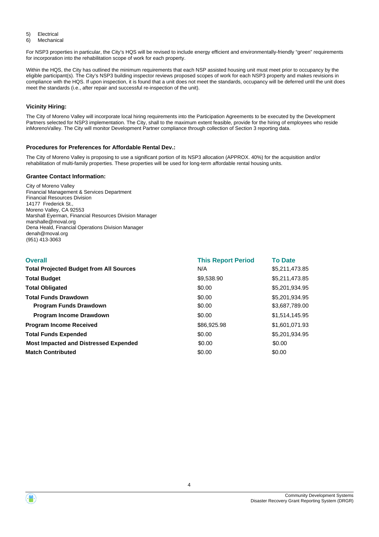5) Electrical

6) Mechanical

For NSP3 properties in particular, the City's HQS will be revised to include energy efficient and environmentally-friendly "green" requirements for incorporation into the rehabilitation scope of work for each property.

Within the HQS, the City has outlined the minimum requirements that each NSP assisted housing unit must meet prior to occupancy by the eligible participant(s). The City's NSP3 building inspector reviews proposed scopes of work for each NSP3 property and makes revisions in compliance with the HQS. If upon inspection, it is found that a unit does not meet the standards, occupancy will be deferred until the unit does meet the standards (i.e., after repair and successful re-inspection of the unit).

#### **Vicinity Hiring:**

The City of Moreno Valley will incorporate local hiring requirements into the Participation Agreements to be executed by the Development Partners selected for NSP3 implementation. The City, shall to the maximum extent feasible, provide for the hiring of employees who reside inMorenoValley. The City will monitor Development Partner compliance through collection of Section 3 reporting data.

#### **Procedures for Preferences for Affordable Rental Dev.:**

The City of Moreno Valley is proposing to use a significant portion of its NSP3 allocation (APPROX. 40%) for the acquisition and/or rehabilitation of multi-family properties. These properties will be used for long-term affordable rental housing units.

#### **Grantee Contact Information:**

City of Moreno Valley Financial Management & Services Department Financial Resources Division 14177 Frederick St. Moreno Valley, CA 92553 Marshall Eyerman, Financial Resources Division Manager marshalle@moval.org Dena Heald, Financial Operations Division Manager denah@moval.org (951) 413-3063

| <b>Overall</b>                                 | <b>This Report Period</b> | <b>To Date</b> |
|------------------------------------------------|---------------------------|----------------|
| <b>Total Projected Budget from All Sources</b> | N/A                       | \$5,211,473.85 |
| <b>Total Budget</b>                            | \$9,538.90                | \$5,211,473.85 |
| <b>Total Obligated</b>                         | \$0.00                    | \$5,201,934.95 |
| <b>Total Funds Drawdown</b>                    | \$0.00                    | \$5,201,934.95 |
| <b>Program Funds Drawdown</b>                  | \$0.00                    | \$3,687,789.00 |
| <b>Program Income Drawdown</b>                 | \$0.00                    | \$1,514,145.95 |
| <b>Program Income Received</b>                 | \$86,925.98               | \$1,601,071.93 |
| <b>Total Funds Expended</b>                    | \$0.00                    | \$5.201.934.95 |
| <b>Most Impacted and Distressed Expended</b>   | \$0.00                    | \$0.00         |
| <b>Match Contributed</b>                       | \$0.00                    | \$0.00         |



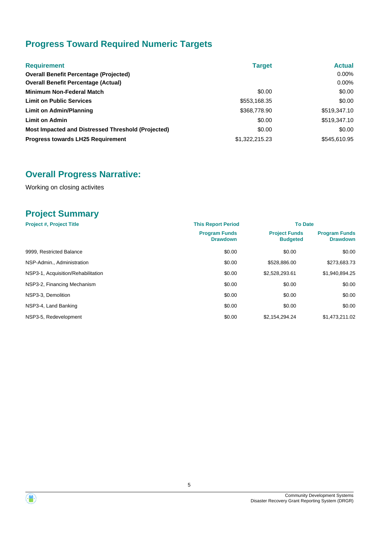# **Progress Toward Required Numeric Targets**

| <b>Requirement</b>                                 | <b>Target</b>  | <b>Actual</b> |
|----------------------------------------------------|----------------|---------------|
| <b>Overall Benefit Percentage (Projected)</b>      |                | 0.00%         |
| <b>Overall Benefit Percentage (Actual)</b>         |                | $0.00\%$      |
| <b>Minimum Non-Federal Match</b>                   | \$0.00         | \$0.00        |
| <b>Limit on Public Services</b>                    | \$553,168.35   | \$0.00        |
| Limit on Admin/Planning                            | \$368,778.90   | \$519,347.10  |
| <b>Limit on Admin</b>                              | \$0.00         | \$519,347.10  |
| Most Impacted and Distressed Threshold (Projected) | \$0.00         | \$0.00        |
| <b>Progress towards LH25 Requirement</b>           | \$1,322,215.23 | \$545,610.95  |

# **Overall Progress Narrative:**

Working on closing activites

## **Project Summary**

| <b>Project #, Project Title</b>    | <b>This Report Period</b>               |                                         | <b>To Date</b>                          |  |  |
|------------------------------------|-----------------------------------------|-----------------------------------------|-----------------------------------------|--|--|
|                                    | <b>Program Funds</b><br><b>Drawdown</b> | <b>Project Funds</b><br><b>Budgeted</b> | <b>Program Funds</b><br><b>Drawdown</b> |  |  |
| 9999, Restricted Balance           | \$0.00                                  | \$0.00                                  | \$0.00                                  |  |  |
| NSP-Admin., Administration         | \$0.00                                  | \$528,886.00                            | \$273,683.73                            |  |  |
| NSP3-1, Acquisition/Rehabilitation | \$0.00                                  | \$2,528,293.61                          | \$1,940,894.25                          |  |  |
| NSP3-2, Financing Mechanism        | \$0.00                                  | \$0.00                                  | \$0.00                                  |  |  |
| NSP3-3, Demolition                 | \$0.00                                  | \$0.00                                  | \$0.00                                  |  |  |
| NSP3-4, Land Banking               | \$0.00                                  | \$0.00                                  | \$0.00                                  |  |  |
| NSP3-5, Redevelopment              | \$0.00                                  | \$2.154.294.24                          | \$1.473.211.02                          |  |  |

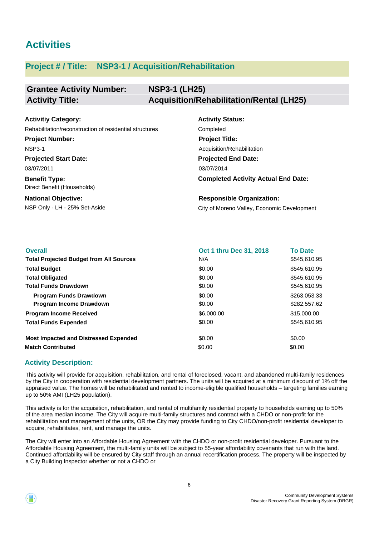# **Activities**

## **Project # / Title: NSP3-1 / Acquisition/Rehabilitation**

#### **Grantee Activity Number: NSP3-1 (LH25) Activity Title: Acquisition/Rehabilitation/Rental (LH25)**

| <b>Activitiy Category:</b>                              | <b>Activity Status:</b>                     |
|---------------------------------------------------------|---------------------------------------------|
| Rehabilitation/reconstruction of residential structures | Completed                                   |
| <b>Project Number:</b>                                  | <b>Project Title:</b>                       |
| <b>NSP3-1</b>                                           | Acquisition/Rehabilitation                  |
| <b>Projected Start Date:</b>                            | <b>Projected End Date:</b>                  |
| 03/07/2011                                              | 03/07/2014                                  |
| <b>Benefit Type:</b><br>Direct Benefit (Households)     | <b>Completed Activity Actual End Date:</b>  |
| <b>National Objective:</b>                              | <b>Responsible Organization:</b>            |
| NSP Only - LH - 25% Set-Aside                           | City of Moreno Valley, Economic Development |

| <b>Overall</b>                                 | Oct 1 thru Dec 31, 2018 | <b>To Date</b> |
|------------------------------------------------|-------------------------|----------------|
| <b>Total Projected Budget from All Sources</b> | N/A                     | \$545,610.95   |
| <b>Total Budget</b>                            | \$0.00                  | \$545.610.95   |
| <b>Total Obligated</b>                         | \$0.00                  | \$545,610.95   |
| <b>Total Funds Drawdown</b>                    | \$0.00                  | \$545,610.95   |
| <b>Program Funds Drawdown</b>                  | \$0.00                  | \$263.053.33   |
| <b>Program Income Drawdown</b>                 | \$0.00                  | \$282,557.62   |
| <b>Program Income Received</b>                 | \$6,000.00              | \$15,000.00    |
| <b>Total Funds Expended</b>                    | \$0.00                  | \$545,610.95   |
| <b>Most Impacted and Distressed Expended</b>   | \$0.00                  | \$0.00         |
| <b>Match Contributed</b>                       | \$0.00                  | \$0.00         |

## **Activity Description:**

This activity will provide for acquisition, rehabilitation, and rental of foreclosed, vacant, and abandoned multi-family residences by the City in cooperation with residential development partners. The units will be acquired at a minimum discount of 1% off the appraised value. The homes will be rehabilitated and rented to income-eligible qualified households – targeting families earning up to 50% AMI (LH25 population).

This activity is for the acquisition, rehabilitation, and rental of multifamily residential property to households earning up to 50% of the area median income. The City will acquire multi-family structures and contract with a CHDO or non-profit for the rehabilitation and management of the units, OR the City may provide funding to City CHDO/non-profit residential developer to acquire, rehabilitates, rent, and manage the units.

The City will enter into an Affordable Housing Agreement with the CHDO or non-profit residential developer. Pursuant to the Affordable Housing Agreement, the multi-family units will be subject to 55-year affordability covenants that run with the land. Continued affordability will be ensured by City staff through an annual recertification process. The property will be inspected by a City Building Inspector whether or not a CHDO or

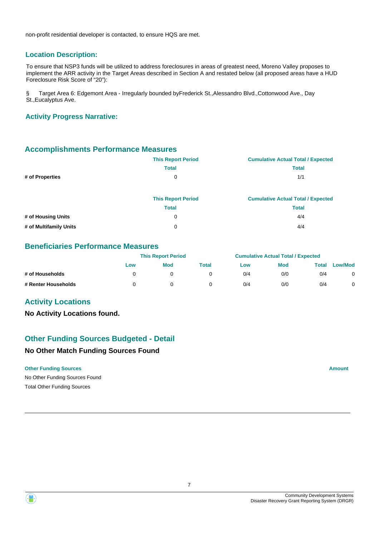non-profit residential developer is contacted, to ensure HQS are met.

### **Location Description:**

To ensure that NSP3 funds will be utilized to address foreclosures in areas of greatest need, Moreno Valley proposes to implement the ARR activity in the Target Areas described in Section A and restated below (all proposed areas have a HUD Foreclosure Risk Score of "20"):

§ Target Area 6: Edgemont Area - Irregularly bounded byFrederick St.,Alessandro Blvd.,Cottonwood Ave., Day St.,Eucalyptus Ave.

#### **Activity Progress Narrative:**

### **Accomplishments Performance Measures**

|                        | <b>This Report Period</b> | <b>Cumulative Actual Total / Expected</b> |
|------------------------|---------------------------|-------------------------------------------|
|                        | <b>Total</b>              | <b>Total</b>                              |
| # of Properties        | 0                         | 1/1                                       |
|                        |                           |                                           |
|                        | <b>This Report Period</b> | <b>Cumulative Actual Total / Expected</b> |
|                        | <b>Total</b>              | <b>Total</b>                              |
| # of Housing Units     | 0                         | 4/4                                       |
| # of Multifamily Units | 0                         | 4/4                                       |

## **Beneficiaries Performance Measures**

|                     |     | <b>This Report Period</b> |              |     | <b>Cumulative Actual Total / Expected</b> |       |                |
|---------------------|-----|---------------------------|--------------|-----|-------------------------------------------|-------|----------------|
|                     | Low | <b>Mod</b>                | <b>Total</b> | Low | Mod                                       | Total | <b>Low/Mod</b> |
| # of Households     |     |                           |              | 0/4 | 0/0                                       | 0/4   |                |
| # Renter Households |     |                           |              | 0/4 | 0/0                                       | 0/4   |                |

### **Activity Locations**

**No Activity Locations found.**

## **Other Funding Sources Budgeted - Detail**

#### **No Other Match Funding Sources Found**

#### **Other Funding Sources Amount Amount Amount Amount Amount Amount Amount**

No Other Funding Sources Found Total Other Funding Sources

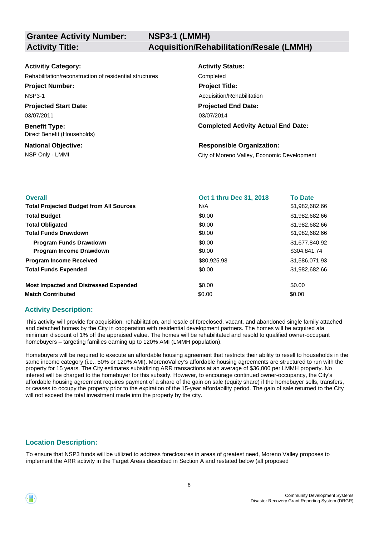| <b>Activitiy Category:</b>                              | <b>Activity Status:</b>                     |
|---------------------------------------------------------|---------------------------------------------|
| Rehabilitation/reconstruction of residential structures | Completed                                   |
| <b>Project Number:</b>                                  | <b>Project Title:</b>                       |
| <b>NSP3-1</b>                                           | Acquisition/Rehabilitation                  |
| <b>Projected Start Date:</b>                            | <b>Projected End Date:</b>                  |
| 03/07/2011                                              | 03/07/2014                                  |
| <b>Benefit Type:</b><br>Direct Benefit (Households)     | <b>Completed Activity Actual End Date:</b>  |
| <b>National Objective:</b>                              | <b>Responsible Organization:</b>            |
| NSP Only - LMMI                                         | City of Moreno Valley, Economic Development |

| Oct 1 thru Dec 31, 2018 | <b>To Date</b> |
|-------------------------|----------------|
| N/A                     | \$1,982,682.66 |
| \$0.00                  | \$1,982,682.66 |
| \$0.00                  | \$1,982,682.66 |
| \$0.00                  | \$1,982,682.66 |
| \$0.00                  | \$1,677,840,92 |
| \$0.00                  | \$304,841.74   |
| \$80,925.98             | \$1,586,071.93 |
| \$0.00                  | \$1,982,682.66 |
| \$0.00                  | \$0.00         |
| \$0.00                  | \$0.00         |
|                         |                |

### **Activity Description:**

This activity will provide for acquisition, rehabilitation, and resale of foreclosed, vacant, and abandoned single family attached and detached homes by the City in cooperation with residential development partners. The homes will be acquired ata minimum discount of 1% off the appraised value. The homes will be rehabilitated and resold to qualified owner-occupant homebuyers – targeting families earning up to 120% AMI (LMMH population).

Homebuyers will be required to execute an affordable housing agreement that restricts their ability to resell to households in the same income category (i.e., 50% or 120% AMI). MorenoValley's affordable housing agreements are structured to run with the property for 15 years. The City estimates subsidizing ARR transactions at an average of \$36,000 per LMMH property. No interest will be charged to the homebuyer for this subsidy. However, to encourage continued owner-occupancy, the City's affordable housing agreement requires payment of a share of the gain on sale (equity share) if the homebuyer sells, transfers, or ceases to occupy the property prior to the expiration of the 15-year affordability period. The gain of sale returned to the City will not exceed the total investment made into the property by the city.

## **Location Description:**

To ensure that NSP3 funds will be utilized to address foreclosures in areas of greatest need, Moreno Valley proposes to implement the ARR activity in the Target Areas described in Section A and restated below (all proposed